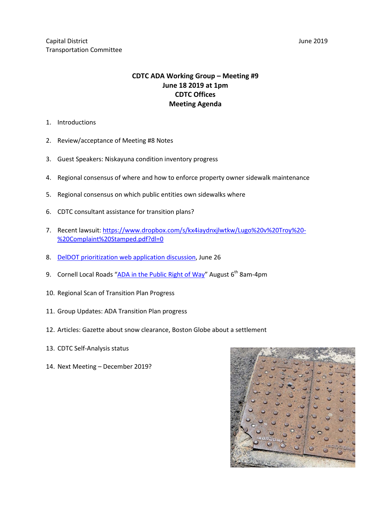## **CDTC ADA Working Group – Meeting #9 June 18 2019 at 1pm CDTC Offices Meeting Agenda**

- 1. Introductions
- 2. Review/acceptance of Meeting #8 Notes
- 3. Guest Speakers: Niskayuna condition inventory progress
- 4. Regional consensus of where and how to enforce property owner sidewalk maintenance
- 5. Regional consensus on which public entities own sidewalks where
- 6. CDTC consultant assistance for transition plans?
- 7. Recent lawsuit: [https://www.dropbox.com/s/kx4iaydnxjlwtkw/Lugo%20v%20Troy%20-](https://www.dropbox.com/s/kx4iaydnxjlwtkw/Lugo%20v%20Troy%20-%20Complaint%20Stamped.pdf?dl=0) [%20Complaint%20Stamped.pdf?dl=0](https://www.dropbox.com/s/kx4iaydnxjlwtkw/Lugo%20v%20Troy%20-%20Complaint%20Stamped.pdf?dl=0)
- 8. [DelDOT prioritization web application discussion,](https://www.eventbrite.com/e/deldot-par-prioritization-web-application-tickets-62571285399?ref=enivtefor001&invite=MTY1OTIxNTQvdGxhc2FsbGVAY2R0Y21wby5vcmcvMA%3D%3D%0A&utm_source=eb_email&utm_medium=email&utm_campaign=inviteformalv2&utm_term=eventpage) June 26
- 9. Cornell Local Roads ["ADA in the Public Right of Way"](https://www.clrp.cornell.edu/workshops/engineer.html) August  $6<sup>th</sup>$  8am-4pm
- 10. Regional Scan of Transition Plan Progress
- 11. Group Updates: ADA Transition Plan progress
- 12. Articles: Gazette about snow clearance, Boston Globe about a settlement
- 13. CDTC Self-Analysis status
- 14. Next Meeting December 2019?

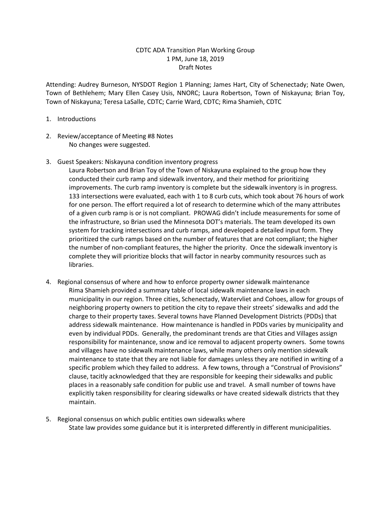### CDTC ADA Transition Plan Working Group 1 PM, June 18, 2019 Draft Notes

Attending: Audrey Burneson, NYSDOT Region 1 Planning; James Hart, City of Schenectady; Nate Owen, Town of Bethlehem; Mary Ellen Casey Usis, NNORC; Laura Robertson, Town of Niskayuna; Brian Toy, Town of Niskayuna; Teresa LaSalle, CDTC; Carrie Ward, CDTC; Rima Shamieh, CDTC

- 1. Introductions
- 2. Review/acceptance of Meeting #8 Notes No changes were suggested.
- 3. Guest Speakers: Niskayuna condition inventory progress

Laura Robertson and Brian Toy of the Town of Niskayuna explained to the group how they conducted their curb ramp and sidewalk inventory, and their method for prioritizing improvements. The curb ramp inventory is complete but the sidewalk inventory is in progress. 133 intersections were evaluated, each with 1 to 8 curb cuts, which took about 76 hours of work for one person. The effort required a lot of research to determine which of the many attributes of a given curb ramp is or is not compliant. PROWAG didn't include measurements for some of the infrastructure, so Brian used the Minnesota DOT's materials. The team developed its own system for tracking intersections and curb ramps, and developed a detailed input form. They prioritized the curb ramps based on the number of features that are not compliant; the higher the number of non-compliant features, the higher the priority. Once the sidewalk inventory is complete they will prioritize blocks that will factor in nearby community resources such as libraries.

- 4. Regional consensus of where and how to enforce property owner sidewalk maintenance Rima Shamieh provided a summary table of local sidewalk maintenance laws in each municipality in our region. Three cities, Schenectady, Watervliet and Cohoes, allow for groups of neighboring property owners to petition the city to repave their streets' sidewalks and add the charge to their property taxes. Several towns have Planned Development Districts (PDDs) that address sidewalk maintenance. How maintenance is handled in PDDs varies by municipality and even by individual PDDs. Generally, the predominant trends are that Cities and Villages assign responsibility for maintenance, snow and ice removal to adjacent property owners. Some towns and villages have no sidewalk maintenance laws, while many others only mention sidewalk maintenance to state that they are not liable for damages unless they are notified in writing of a specific problem which they failed to address. A few towns, through a "Construal of Provisions" clause, tacitly acknowledged that they are responsible for keeping their sidewalks and public places in a reasonably safe condition for public use and travel. A small number of towns have explicitly taken responsibility for clearing sidewalks or have created sidewalk districts that they maintain.
- 5. Regional consensus on which public entities own sidewalks where State law provides some guidance but it is interpreted differently in different municipalities.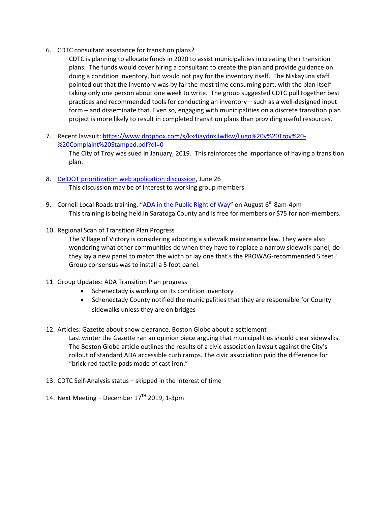6. CDTC consultant assistance for transition plans?

CDTC is planning to allocate funds in 2020 to assist municipalities in creating their transition plans. The funds would cover hiring a consultant to create the plan and provide guidance on doing a condition inventory, but would not pay for the inventory itself. The Niskayuna staff pointed out that the inventory was by far the most time consuming part, with the plan itself taking only one person about one week to write. The group suggested CDTC pull together best practices and recommended tools for conducting an inventory – such as a well-designed input form – and disseminate that. Even so, engaging with municipalities on a discrete transition plan project is more likely to result in completed transition plans than providing useful resources.

7. Recent lawsuit: [https://www.dropbox.com/s/kx4iaydnxjlwtkw/Lugo%20v%20Troy%20-](https://www.dropbox.com/s/kx4iaydnxjlwtkw/Lugo%20v%20Troy%20-%20Complaint%20Stamped.pdf?dl=0) [%20Complaint%20Stamped.pdf?dl=0](https://www.dropbox.com/s/kx4iaydnxjlwtkw/Lugo%20v%20Troy%20-%20Complaint%20Stamped.pdf?dl=0)

The City of Troy was sued in January, 2019. This reinforces the importance of having a transition plan.

- 8. [DelDOT prioritization web application discussion,](https://www.eventbrite.com/e/deldot-par-prioritization-web-application-tickets-62571285399?ref=enivtefor001&invite=MTY1OTIxNTQvdGxhc2FsbGVAY2R0Y21wby5vcmcvMA%3D%3D%0A&utm_source=eb_email&utm_medium=email&utm_campaign=inviteformalv2&utm_term=eventpage) June 26 This discussion may be of interest to working group members.
- 9. Cornell Local Roads training, ["ADA in the Public Right of Way"](https://www.clrp.cornell.edu/workshops/engineer.html) on August 6<sup>th</sup> 8am-4pm This training is being held in Saratoga County and is free for members or \$75 for non-members.
- 10. Regional Scan of Transition Plan Progress

The Village of Victory is considering adopting a sidewalk maintenance law. They were also wondering what other communities do when they have to replace a narrow sidewalk panel; do they lay a new panel to match the width or lay one that's the PROWAG-recommended 5 feet? Group consensus was to install a 5 foot panel.

- 11. Group Updates: ADA Transition Plan progress
	- Schenectady is working on its condition inventory
	- Schenectady County notified the municipalities that they are responsible for County sidewalks unless they are on bridges
- 12. Articles: Gazette about snow clearance, Boston Globe about a settlement Last winter the Gazette ran an opinion piece arguing that municipalities should clear sidewalks. The Boston Globe article outlines the results of a civic association lawsuit against the City's rollout of standard ADA accessible curb ramps. The civic association paid the difference for "brick-red tactile pads made of cast iron."
- 13. CDTC Self-Analysis status skipped in the interest of time
- 14. Next Meeting December  $17<sup>TH</sup>$  2019, 1-3pm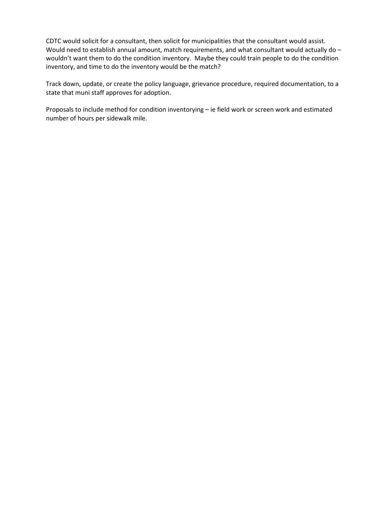CDTC would solicit for a consultant, then solicit for municipalities that the consultant would assist. Would need to establish annual amount, match requirements, and what consultant would actually do wouldn't want them to do the condition inventory. Maybe they could train people to do the condition inventory, and time to do the inventory would be the match?

Track down, update, or create the policy language, grievance procedure, required documentation, to a state that muni staff approves for adoption.

Proposals to include method for condition inventorying – ie field work or screen work and estimated number of hours per sidewalk mile.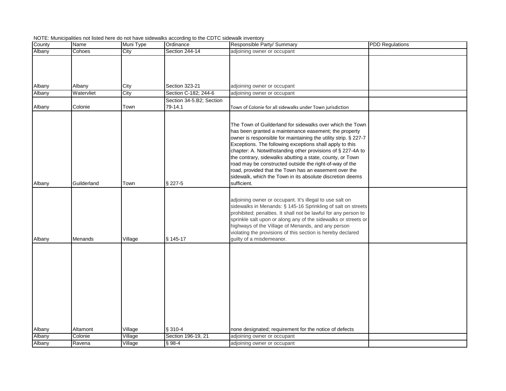#### NOTE: Municipalities not listed here do not have sidewalks according to the CDTC sidewalk inventory

| County | Name        | Muni Type | Ordinance                | Responsible Party/ Summary                                                                                                                                                                                                                                                                                                                                                                                                                                                                                                                                                    | <b>PDD Regulations</b> |
|--------|-------------|-----------|--------------------------|-------------------------------------------------------------------------------------------------------------------------------------------------------------------------------------------------------------------------------------------------------------------------------------------------------------------------------------------------------------------------------------------------------------------------------------------------------------------------------------------------------------------------------------------------------------------------------|------------------------|
| Albany | Cohoes      | City      | Section 244-14           | adjoining owner or occupant                                                                                                                                                                                                                                                                                                                                                                                                                                                                                                                                                   |                        |
|        |             |           |                          |                                                                                                                                                                                                                                                                                                                                                                                                                                                                                                                                                                               |                        |
|        |             |           |                          |                                                                                                                                                                                                                                                                                                                                                                                                                                                                                                                                                                               |                        |
| Albany | Albany      | City      | Section 323-21           | adjoining owner or occupant                                                                                                                                                                                                                                                                                                                                                                                                                                                                                                                                                   |                        |
| Albany | Watervliet  | City      | Section C-182; 244-6     | adjoining owner or occupant                                                                                                                                                                                                                                                                                                                                                                                                                                                                                                                                                   |                        |
|        |             |           | Section 34-5.B2; Section |                                                                                                                                                                                                                                                                                                                                                                                                                                                                                                                                                                               |                        |
| Albany | Colonie     | Town      | 79-14.1                  | Town of Colonie for all sidewalks under Town jurisdiction                                                                                                                                                                                                                                                                                                                                                                                                                                                                                                                     |                        |
| Albany | Guilderland | Town      | § 227-5                  | The Town of Guilderland for sidewalks over which the Town<br>has been granted a maintenance easement; the property<br>owner is responsible for maintaining the utility strip. § 227-7<br>Exceptions. The following exceptions shall apply to this<br>chapter: A. Notwithstanding other provisions of § 227-4A to<br>the contrary, sidewalks abutting a state, county, or Town<br>road may be constructed outside the right-of-way of the<br>road, provided that the Town has an easement over the<br>sidewalk, which the Town in its absolute discretion deems<br>sufficient. |                        |
| Albany | Menands     | Village   | § 145-17                 | adjoining owner or occupant. It's illegal to use salt on<br>sidewalks in Menands: § 145-16 Sprinkling of salt on streets<br>prohibited; penalties. It shall not be lawful for any person to<br>sprinkle salt upon or along any of the sidewalks or streets or<br>highways of the Village of Menands, and any person<br>violating the provisions of this section is hereby declared<br>guilty of a misdemeanor.                                                                                                                                                                |                        |
| Albany | Altamont    | Village   | § 310-4                  | none designated; requirement for the notice of defects                                                                                                                                                                                                                                                                                                                                                                                                                                                                                                                        |                        |
| Albany | Colonie     | Village   | Section 196-19, 21       | adjoining owner or occupant                                                                                                                                                                                                                                                                                                                                                                                                                                                                                                                                                   |                        |
| Albany | Ravena      | Village   | $§ 98-4$                 | adjoining owner or occupant                                                                                                                                                                                                                                                                                                                                                                                                                                                                                                                                                   |                        |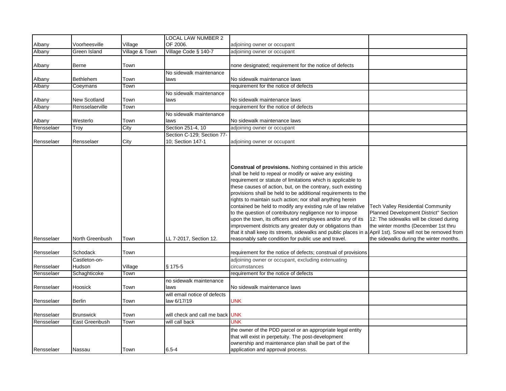|            |                         |                | <b>LOCAL LAW NUMBER 2</b>                       |                                                                                                                                                                                                                                                                                                                                                                                                                                                                                                                                                                                                                                                                                                                                                                                 |                                                                                                                                                                                                                                                              |
|------------|-------------------------|----------------|-------------------------------------------------|---------------------------------------------------------------------------------------------------------------------------------------------------------------------------------------------------------------------------------------------------------------------------------------------------------------------------------------------------------------------------------------------------------------------------------------------------------------------------------------------------------------------------------------------------------------------------------------------------------------------------------------------------------------------------------------------------------------------------------------------------------------------------------|--------------------------------------------------------------------------------------------------------------------------------------------------------------------------------------------------------------------------------------------------------------|
| Albany     | Voorheesville           | Village        | OF 2006.                                        | adjoining owner or occupant                                                                                                                                                                                                                                                                                                                                                                                                                                                                                                                                                                                                                                                                                                                                                     |                                                                                                                                                                                                                                                              |
| Albany     | Green Island            | Village & Town | Village Code § 140-7                            | adjoining owner or occupant                                                                                                                                                                                                                                                                                                                                                                                                                                                                                                                                                                                                                                                                                                                                                     |                                                                                                                                                                                                                                                              |
| Albany     | Berne                   | Town           |                                                 | none designated; requirement for the notice of defects                                                                                                                                                                                                                                                                                                                                                                                                                                                                                                                                                                                                                                                                                                                          |                                                                                                                                                                                                                                                              |
| Albany     | <b>Bethlehem</b>        | Town           | No sidewalk maintenance<br>laws                 | No sidewalk maintenance laws                                                                                                                                                                                                                                                                                                                                                                                                                                                                                                                                                                                                                                                                                                                                                    |                                                                                                                                                                                                                                                              |
| Albany     | Coeymans                | Town           |                                                 | requirement for the notice of defects                                                                                                                                                                                                                                                                                                                                                                                                                                                                                                                                                                                                                                                                                                                                           |                                                                                                                                                                                                                                                              |
| Albany     | New Scotland            | Town           | No sidewalk maintenance<br>laws                 | No sidewalk maintenance laws                                                                                                                                                                                                                                                                                                                                                                                                                                                                                                                                                                                                                                                                                                                                                    |                                                                                                                                                                                                                                                              |
| Albany     | Rensselaerville         | Town           |                                                 | requirement for the notice of defects                                                                                                                                                                                                                                                                                                                                                                                                                                                                                                                                                                                                                                                                                                                                           |                                                                                                                                                                                                                                                              |
| Albany     | Westerlo                | Town           | No sidewalk maintenance<br>laws                 | No sidewalk maintenance laws                                                                                                                                                                                                                                                                                                                                                                                                                                                                                                                                                                                                                                                                                                                                                    |                                                                                                                                                                                                                                                              |
| Rensselaer | Troy                    | City           | Section 251-4, 10                               | adjoining owner or occupant                                                                                                                                                                                                                                                                                                                                                                                                                                                                                                                                                                                                                                                                                                                                                     |                                                                                                                                                                                                                                                              |
| Rensselaer | Rensselaer              | City           | Section C-129; Section 77-<br>10; Section 147-1 | adjoining owner or occupant                                                                                                                                                                                                                                                                                                                                                                                                                                                                                                                                                                                                                                                                                                                                                     |                                                                                                                                                                                                                                                              |
| Rensselaer | North Greenbush         | Town           | LL 7-2017, Section 12.                          | <b>Construal of provisions.</b> Nothing contained in this article<br>shall be held to repeal or modify or waive any existing<br>requirement or statute of limitations which is applicable to<br>these causes of action, but, on the contrary, such existing<br>provisions shall be held to be additional requirements to the<br>rights to maintain such action; nor shall anything herein<br>contained be held to modify any existing rule of law relative<br>to the question of contributory negligence nor to impose<br>upon the town, its officers and employees and/or any of its<br>improvement districts any greater duty or obligations than<br>that it shall keep its streets, sidewalks and public places in a<br>reasonably safe condition for public use and travel. | <b>Tech Valley Residential Community</b><br>Planned Development District" Section<br>12: The sidewalks will be closed during<br>the winter months (December 1st thru<br>April 1st). Snow will not be removed from<br>the sidewalks during the winter months. |
| Rensselaer | Schodack                | Town           |                                                 | requirement for the notice of defects; construal of provisions                                                                                                                                                                                                                                                                                                                                                                                                                                                                                                                                                                                                                                                                                                                  |                                                                                                                                                                                                                                                              |
| Rensselaer | Castleton-on-<br>Hudson | Village        | $§ 175-5$                                       | adjoining owner or occupant, excluding extenuating<br>circumstances                                                                                                                                                                                                                                                                                                                                                                                                                                                                                                                                                                                                                                                                                                             |                                                                                                                                                                                                                                                              |
| Rensselaer | Schaghticoke            | Town           |                                                 | requirement for the notice of defects                                                                                                                                                                                                                                                                                                                                                                                                                                                                                                                                                                                                                                                                                                                                           |                                                                                                                                                                                                                                                              |
| Rensselaer | Hoosick                 | Town           | no sidewalk maintenance<br>laws                 | No sidewalk maintenance laws                                                                                                                                                                                                                                                                                                                                                                                                                                                                                                                                                                                                                                                                                                                                                    |                                                                                                                                                                                                                                                              |
| Rensselaer | Berlin                  | Town           | will email notice of defects<br>law 6/17/19     | UNK                                                                                                                                                                                                                                                                                                                                                                                                                                                                                                                                                                                                                                                                                                                                                                             |                                                                                                                                                                                                                                                              |
| Rensselaer | <b>Brunswick</b>        | Town           | will check and call me back UNK                 |                                                                                                                                                                                                                                                                                                                                                                                                                                                                                                                                                                                                                                                                                                                                                                                 |                                                                                                                                                                                                                                                              |
| Rensselaer | East Greenbush          | Town           | will call back                                  | <b>JNK</b>                                                                                                                                                                                                                                                                                                                                                                                                                                                                                                                                                                                                                                                                                                                                                                      |                                                                                                                                                                                                                                                              |
| Rensselaer | Nassau                  | Town           | $6.5 - 4$                                       | the owner of the PDD parcel or an appropriate legal entity<br>that will exist in perpetuity. The post-development<br>ownership and maintenance plan shall be part of the<br>application and approval process.                                                                                                                                                                                                                                                                                                                                                                                                                                                                                                                                                                   |                                                                                                                                                                                                                                                              |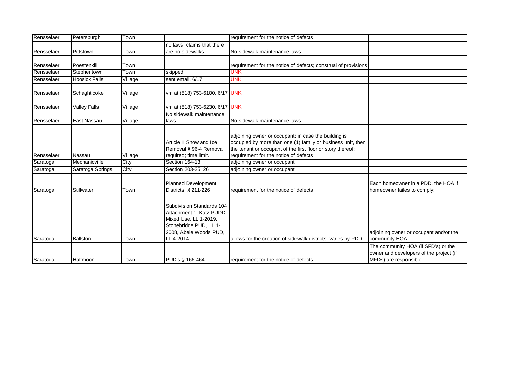| Rensselaer | Petersburgh          | Town    |                                                                                                                                                | requirement for the notice of defects                                                                                                                                                                                       |                                                                                                         |
|------------|----------------------|---------|------------------------------------------------------------------------------------------------------------------------------------------------|-----------------------------------------------------------------------------------------------------------------------------------------------------------------------------------------------------------------------------|---------------------------------------------------------------------------------------------------------|
| Rensselaer | Pittstown            | Town    | no laws, claims that there<br>are no sidewalks                                                                                                 | No sidewalk maintenance laws                                                                                                                                                                                                |                                                                                                         |
| Rensselaer | Poestenkill          | Town    |                                                                                                                                                | requirement for the notice of defects; construal of provisions                                                                                                                                                              |                                                                                                         |
| Rensselaer | Stephentown          | Town    | skipped                                                                                                                                        | <b>UNK</b>                                                                                                                                                                                                                  |                                                                                                         |
| Rensselaer | <b>Hoosick Falls</b> | Village | sent email, 6/17                                                                                                                               | <b>UNK</b>                                                                                                                                                                                                                  |                                                                                                         |
| Rensselaer | Schaghticoke         | Village | vm at (518) 753-6100, 6/17 UNK                                                                                                                 |                                                                                                                                                                                                                             |                                                                                                         |
| Rensselaer | <b>Valley Falls</b>  | Village | vm at (518) 753-6230, 6/17 UNK                                                                                                                 |                                                                                                                                                                                                                             |                                                                                                         |
| Rensselaer | East Nassau          | Village | No sidewalk maintenance<br>laws                                                                                                                | No sidewalk maintenance laws                                                                                                                                                                                                |                                                                                                         |
| Rensselaer | Nassau               | Village | Article II Snow and Ice<br>Removal § 96-4 Removal<br>required; time limit.                                                                     | adjoining owner or occupant; in case the building is<br>occupied by more than one (1) family or business unit, then<br>the tenant or occupant of the first floor or story thereof;<br>requirement for the notice of defects |                                                                                                         |
| Saratoga   | Mechanicville        | City    | Section 164-13                                                                                                                                 | adjoining owner or occupant                                                                                                                                                                                                 |                                                                                                         |
| Saratoga   | Saratoga Springs     | City    | Section 203-25, 26                                                                                                                             | adjoining owner or occupant                                                                                                                                                                                                 |                                                                                                         |
| Saratoga   | Stillwater           | Town    | <b>Planned Development</b><br>Districts: § 211-226                                                                                             | requirement for the notice of defects                                                                                                                                                                                       | Each homeowner in a PDD, the HOA if<br>homeowner failes to comply;                                      |
| Saratoga   | Ballston             | Town    | Subdivision Standards 104<br>Attachment 1. Katz PUDD<br>Mixed Use, LL 1-2019,<br>Stonebridge PUD, LL 1-<br>2008, Abele Woods PUD,<br>LL 4-2014 | allows for the creation of sidewalk districts. varies by PDD                                                                                                                                                                | adjoining owner or occupant and/or the<br>community HOA                                                 |
| Saratoga   | Halfmoon             | Town    | PUD's § 166-464                                                                                                                                | requirement for the notice of defects                                                                                                                                                                                       | The community HOA (if SFD's) or the<br>owner and developers of the project (if<br>MFDs) are responsible |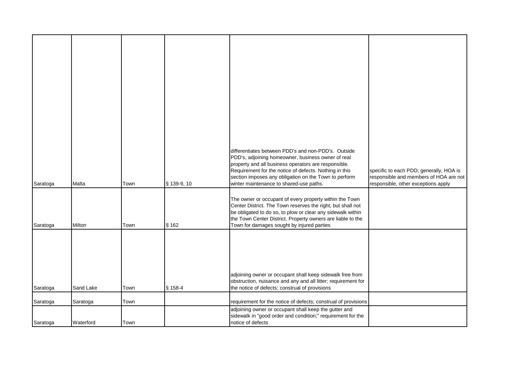|          |           |      |             | differentiates between PDD's and non-PDD's. Outside<br>PDD's, adjoining homeowner, business owner of real<br>property and all business operators are responsible.<br>Requirement for the notice of defects. Nothing in this<br>section imposes any obligation on the Town to perform | specific to each PDD; generally, HOA is<br>responsible and members of HOA are not |
|----------|-----------|------|-------------|--------------------------------------------------------------------------------------------------------------------------------------------------------------------------------------------------------------------------------------------------------------------------------------|-----------------------------------------------------------------------------------|
| Saratoga | Malta     | Town | § 139-9, 10 | winter maintenance to shared-use paths.<br>The owner or occupant of every property within the Town                                                                                                                                                                                   | responsible, other exceptions apply                                               |
| Saratoga | Milton    | Town | § 162       | Center District. The Town reserves the right, but shall not<br>be obligated to do so, to plow or clear any sidewalk within<br>the Town Center District. Property owners are liable to the<br>Town for damages sought by injured parties                                              |                                                                                   |
|          |           |      |             |                                                                                                                                                                                                                                                                                      |                                                                                   |
|          |           |      |             | adjoining owner or occupant shall keep sidewalk free from<br>obstruction, nuisance and any and all litter; requirement for                                                                                                                                                           |                                                                                   |
| Saratoga | Sand Lake | Town | § 158-4     | the notice of defects; construal of provisions                                                                                                                                                                                                                                       |                                                                                   |
| Saratoga | Saratoga  | Town |             | requirement for the notice of defects; construal of provisions                                                                                                                                                                                                                       |                                                                                   |
| Saratoga | Waterford | Town |             | adjoining owner or occupant shall keep the gutter and<br>sidewalk in "good order and condition;" requirement for the<br>notice of defects                                                                                                                                            |                                                                                   |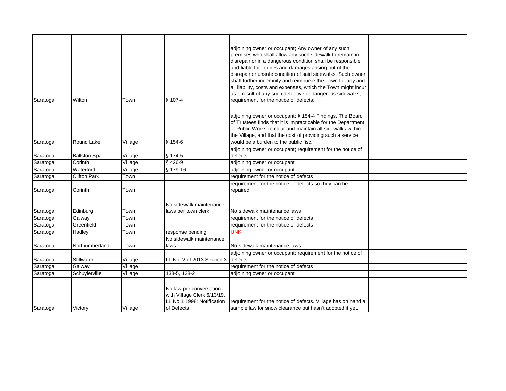| Saratoga | Wilton              | Town    | § 107-4                                                                                            | adjoining owner or occupant; Any owner of any such<br>premises who shall allow any such sidewalk to remain in<br>disrepair or in a dangerous condition shall be responsible<br>and liable for injuries and damages arising out of the<br>disrepair or unsafe condition of said sidewalks. Such owner<br>shall further indemnify and reimburse the Town for any and<br>all liability, costs and expenses, which the Town might incur<br>as a result of any such defective or dangerous sidewalks;<br>requirement for the notice of defects; |  |
|----------|---------------------|---------|----------------------------------------------------------------------------------------------------|--------------------------------------------------------------------------------------------------------------------------------------------------------------------------------------------------------------------------------------------------------------------------------------------------------------------------------------------------------------------------------------------------------------------------------------------------------------------------------------------------------------------------------------------|--|
| Saratoga | Round Lake          | Village | $$154-6$                                                                                           | adjoining owner or occupant; § 154-4 Findings. The Board<br>of Trustees finds that it is impracticable for the Department<br>of Public Works to clear and maintain all sidewalks within<br>the Village, and that the cost of providing such a service<br>would be a burden to the public fisc.                                                                                                                                                                                                                                             |  |
|          |                     |         |                                                                                                    | adjoining owner or occupant; requirement for the notice of                                                                                                                                                                                                                                                                                                                                                                                                                                                                                 |  |
| Saratoga | <b>Ballston Spa</b> | Village | § 174-5                                                                                            | defects                                                                                                                                                                                                                                                                                                                                                                                                                                                                                                                                    |  |
| Saratoga | Corinth             | Village | $§$ 426-9                                                                                          | adjoining owner or occupant                                                                                                                                                                                                                                                                                                                                                                                                                                                                                                                |  |
| Saratoga | Waterford           | Village | $§$ 179-16                                                                                         | adjoining owner or occupant                                                                                                                                                                                                                                                                                                                                                                                                                                                                                                                |  |
| Saratoga | <b>Clifton Park</b> | Town    |                                                                                                    | requirement for the notice of defects                                                                                                                                                                                                                                                                                                                                                                                                                                                                                                      |  |
| Saratoga | Corinth             | Town    |                                                                                                    | requirement for the notice of defects so they can be<br>repaired                                                                                                                                                                                                                                                                                                                                                                                                                                                                           |  |
| Saratoga | Edinburg            | Town    | No sidewalk maintenance<br>laws per town clerk                                                     | No sidewalk maintenance laws                                                                                                                                                                                                                                                                                                                                                                                                                                                                                                               |  |
| Saratoga | Galway              | Town    |                                                                                                    | requirement for the notice of defects                                                                                                                                                                                                                                                                                                                                                                                                                                                                                                      |  |
| Saratoga | Greenfield          | Town    |                                                                                                    | requirement for the notice of defects                                                                                                                                                                                                                                                                                                                                                                                                                                                                                                      |  |
| Saratoga | Hadley              | Town    | response pending                                                                                   | <b>UNK</b>                                                                                                                                                                                                                                                                                                                                                                                                                                                                                                                                 |  |
| Saratoga | Northumberland      | Town    | No sidewalk maintenance<br>laws                                                                    | No sidewalk maintenance laws                                                                                                                                                                                                                                                                                                                                                                                                                                                                                                               |  |
| Saratoga | Stillwater          | Village | LL No. 2 of 2013 Section 3.                                                                        | adjoining owner or occupant; requirement for the notice of<br>defects                                                                                                                                                                                                                                                                                                                                                                                                                                                                      |  |
| Saratoga | Galway              | Village |                                                                                                    | requirement for the notice of defects                                                                                                                                                                                                                                                                                                                                                                                                                                                                                                      |  |
| Saratoga | Schuylerville       | Village | 138-5, 138-2                                                                                       | adjoining owner or occupant                                                                                                                                                                                                                                                                                                                                                                                                                                                                                                                |  |
| Saratoga | Victory             | Village | No law per conversation<br>with Village Clerk 6/13/19.<br>LL No 1 1998: Notification<br>of Defects | requirement for the notice of defects. Village has on hand a<br>sample law for snow clearance but hasn't adopted it yet.                                                                                                                                                                                                                                                                                                                                                                                                                   |  |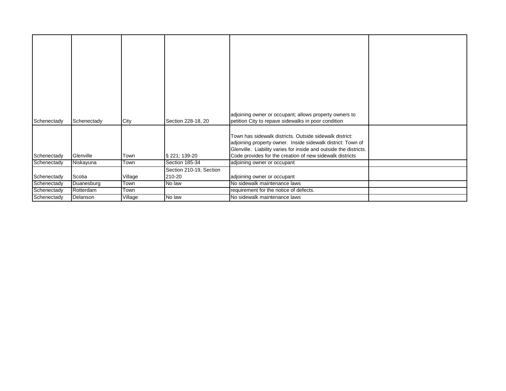| Schenectady | Schenectady | City    | Section 228-18, 20      | adjoining owner or occupant; allows property owners to<br>petition City to repave sidewalks in poor condition |  |
|-------------|-------------|---------|-------------------------|---------------------------------------------------------------------------------------------------------------|--|
|             |             |         |                         |                                                                                                               |  |
|             |             |         |                         | Town has sidewalk districts. Outside sidewalk district:                                                       |  |
|             |             |         |                         | adjoining property owner. Inside sidewalk district: Town of                                                   |  |
|             |             |         |                         | Glenville. Liability varies for inside and outside the districts.                                             |  |
| Schenectady | Glenville   | Town    | § 221; 139-20           | Code provides for the creation of new sidewalk districts                                                      |  |
| Schenectady | Niskayuna   | Town    | Section 185-34          | adjoining owner or occupant                                                                                   |  |
|             |             |         | Section 210-19, Section |                                                                                                               |  |
| Schenectady | Scotia      | Village | 210-20                  | adjoining owner or occupant                                                                                   |  |
| Schenectady | Duanesburg  | Town    | No law                  | No sidewalk maintenance laws                                                                                  |  |
| Schenectady | Rotterdam   | Town    |                         | requirement for the notice of defects.                                                                        |  |
| Schenectady | Delanson    | Village | No law                  | No sidewalk maintenance laws                                                                                  |  |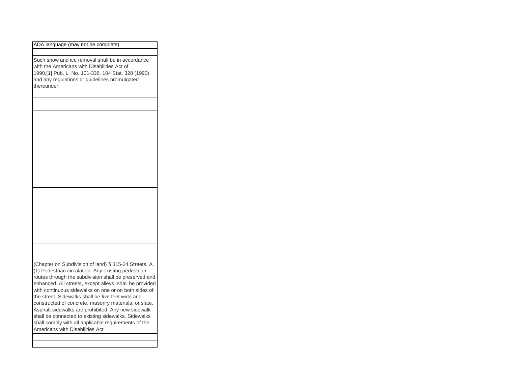| ADA language (may not be complete)                                                                                                                                                                                                                                                                                                                                                                                                                                                                                                                                          |
|-----------------------------------------------------------------------------------------------------------------------------------------------------------------------------------------------------------------------------------------------------------------------------------------------------------------------------------------------------------------------------------------------------------------------------------------------------------------------------------------------------------------------------------------------------------------------------|
|                                                                                                                                                                                                                                                                                                                                                                                                                                                                                                                                                                             |
| Such snow and ice removal shall be in accordance<br>with the Americans with Disabilities Act of<br>1990,[1] Pub. L. No. 101-336, 104 Stat. 328 (1990)<br>and any regulations or guidelines promulgated<br>thereunder.                                                                                                                                                                                                                                                                                                                                                       |
|                                                                                                                                                                                                                                                                                                                                                                                                                                                                                                                                                                             |
|                                                                                                                                                                                                                                                                                                                                                                                                                                                                                                                                                                             |
|                                                                                                                                                                                                                                                                                                                                                                                                                                                                                                                                                                             |
|                                                                                                                                                                                                                                                                                                                                                                                                                                                                                                                                                                             |
|                                                                                                                                                                                                                                                                                                                                                                                                                                                                                                                                                                             |
|                                                                                                                                                                                                                                                                                                                                                                                                                                                                                                                                                                             |
|                                                                                                                                                                                                                                                                                                                                                                                                                                                                                                                                                                             |
|                                                                                                                                                                                                                                                                                                                                                                                                                                                                                                                                                                             |
|                                                                                                                                                                                                                                                                                                                                                                                                                                                                                                                                                                             |
|                                                                                                                                                                                                                                                                                                                                                                                                                                                                                                                                                                             |
| (Chapter on Subdivision of land) § 315-24 Streets. A.<br>(1) Pedestrian circulation. Any existing pedestrian<br>routes through the subdivision shall be preserved and<br>enhanced. All streets, except alleys, shall be provided<br>with continuous sidewalks on one or on both sides of<br>the street. Sidewalks shall be five feet wide and<br>constructed of concrete, masonry materials, or slate.<br>Asphalt sidewalks are prohibited. Any new sidewalk<br>shall be connected to existing sidewalks. Sidewalks<br>shall comply with all applicable requirements of the |
| Americans with Disabilities Act                                                                                                                                                                                                                                                                                                                                                                                                                                                                                                                                             |
|                                                                                                                                                                                                                                                                                                                                                                                                                                                                                                                                                                             |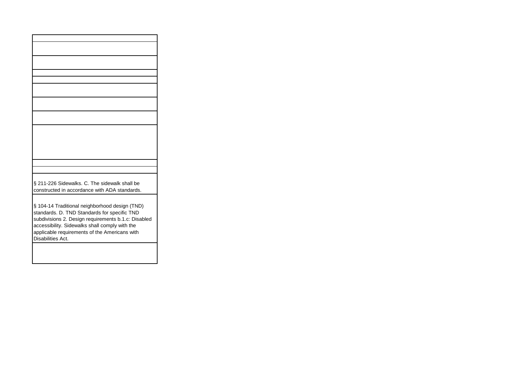| § 211-226 Sidewalks. C. The sidewalk shall be<br>constructed in accordance with ADA standards.                                                                                                                                                                                |
|-------------------------------------------------------------------------------------------------------------------------------------------------------------------------------------------------------------------------------------------------------------------------------|
| § 104-14 Traditional neighborhood design (TND)<br>standards. D. TND Standards for specific TND<br>subdivisions 2. Design requirements b.1.c: Disabled<br>accessibility. Sidewalks shall comply with the<br>applicable requirements of the Americans with<br>Disabilities Act. |
|                                                                                                                                                                                                                                                                               |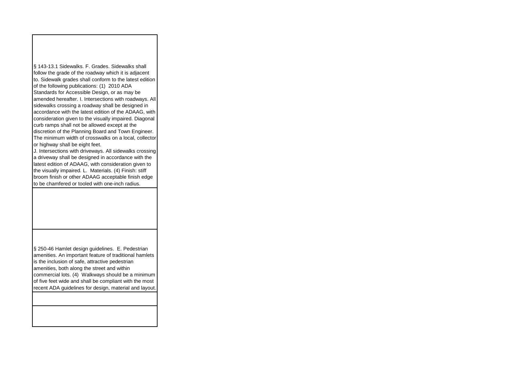| § 143-13.1 Sidewalks. F. Grades. Sidewalks shall<br>follow the grade of the roadway which it is adjacent<br>to. Sidewalk grades shall conform to the latest edition                                                                                                                                                                                                                                                                                                                                                                |
|------------------------------------------------------------------------------------------------------------------------------------------------------------------------------------------------------------------------------------------------------------------------------------------------------------------------------------------------------------------------------------------------------------------------------------------------------------------------------------------------------------------------------------|
| of the following publications: (1) 2010 ADA<br>Standards for Accessible Design, or as may be<br>amended hereafter. I. Intersections with roadways. All<br>sidewalks crossing a roadway shall be designed in<br>accordance with the latest edition of the ADAAG, with<br>consideration given to the visually impaired. Diagonal<br>curb ramps shall not be allowed except at the<br>discretion of the Planning Board and Town Engineer.<br>The minimum width of crosswalks on a local, collector<br>or highway shall be eight feet. |
| J. Intersections with driveways. All sidewalks crossing<br>a driveway shall be designed in accordance with the<br>latest edition of ADAAG, with consideration given to<br>the visually impaired. L. Materials. (4) Finish: stiff<br>broom finish or other ADAAG acceptable finish edge<br>to be chamfered or tooled with one-inch radius.                                                                                                                                                                                          |
| § 250-46 Hamlet design guidelines. E. Pedestrian<br>amenities. An important feature of traditional hamlets<br>is the inclusion of safe, attractive pedestrian<br>amenities, both along the street and within<br>commercial lots. (4) Walkways should be a minimum<br>of five feet wide and shall be compliant with the most<br>recent ADA guidelines for design, material and layout.                                                                                                                                              |
|                                                                                                                                                                                                                                                                                                                                                                                                                                                                                                                                    |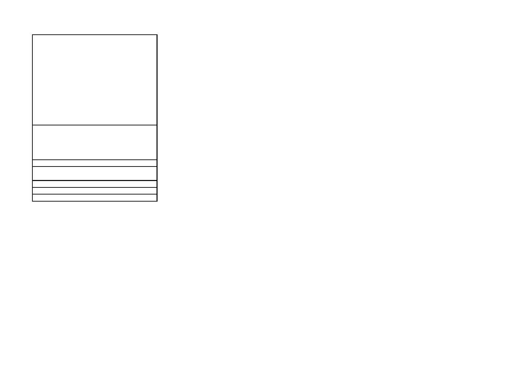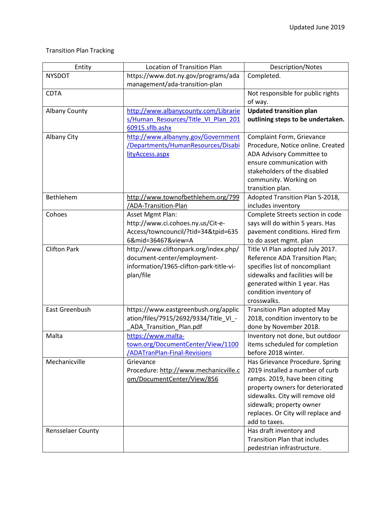## Transition Plan Tracking

| Entity                   | <b>Location of Transition Plan</b>      | Description/Notes                    |
|--------------------------|-----------------------------------------|--------------------------------------|
| <b>NYSDOT</b>            | https://www.dot.ny.gov/programs/ada     | Completed.                           |
|                          | management/ada-transition-plan          |                                      |
| <b>CDTA</b>              |                                         | Not responsible for public rights    |
|                          |                                         | of way.                              |
| <b>Albany County</b>     | http://www.albanycounty.com/Librarie    | <b>Updated transition plan</b>       |
|                          | s/Human Resources/Title VI Plan 201     | outlining steps to be undertaken.    |
|                          | 60915.sflb.ashx                         |                                      |
| Albany City              | http://www.albanyny.gov/Government      | Complaint Form, Grievance            |
|                          | /Departments/HumanResources/Disabi      | Procedure, Notice online. Created    |
|                          | lityAccess.aspx                         | ADA Advisory Committee to            |
|                          |                                         | ensure communication with            |
|                          |                                         | stakeholders of the disabled         |
|                          |                                         | community. Working on                |
|                          |                                         | transition plan.                     |
| Bethlehem                | http://www.townofbethlehem.org/799      | Adopted Transition Plan 5-2018,      |
|                          | /ADA-Transition-Plan                    | includes inventory                   |
| Cohoes                   | Asset Mgmt Plan:                        | Complete Streets section in code     |
|                          | http://www.ci.cohoes.ny.us/Cit-e-       | says will do within 5 years. Has     |
|                          | Access/towncouncil/?tid=34&tpid=635     | pavement conditions. Hired firm      |
|                          | 6∣=36467&view=A                         | to do asset mgmt. plan               |
| <b>Clifton Park</b>      | http://www.cliftonpark.org/index.php/   | Title VI Plan adopted July 2017.     |
|                          | document-center/employment-             | Reference ADA Transition Plan;       |
|                          | information/1965-clifton-park-title-vi- | specifies list of noncompliant       |
|                          | plan/file                               | sidewalks and facilities will be     |
|                          |                                         | generated within 1 year. Has         |
|                          |                                         | condition inventory of               |
|                          |                                         | crosswalks.                          |
| East Greenbush           | https://www.eastgreenbush.org/applic    | <b>Transition Plan adopted May</b>   |
|                          | ation/files/7915/2692/9334/Title_VI_-   | 2018, condition inventory to be      |
|                          | ADA_Transition_Plan.pdf                 | done by November 2018.               |
| Malta                    | https://www.malta-                      | Inventory not done, but outdoor      |
|                          | town.org/DocumentCenter/View/1100       | items scheduled for completion       |
|                          | /ADATranPlan-Final-Revisions            | before 2018 winter.                  |
| Mechanicville            | Grievance                               | Has Grievance Procedure. Spring      |
|                          | Procedure: http://www.mechanicville.c   | 2019 installed a number of curb      |
|                          | om/DocumentCenter/View/856              | ramps. 2019, have been citing        |
|                          |                                         | property owners for deteriorated     |
|                          |                                         | sidewalks. City will remove old      |
|                          |                                         | sidewalk; property owner             |
|                          |                                         | replaces. Or City will replace and   |
|                          |                                         | add to taxes.                        |
| <b>Rensselaer County</b> |                                         | Has draft inventory and              |
|                          |                                         | <b>Transition Plan that includes</b> |
|                          |                                         | pedestrian infrastructure.           |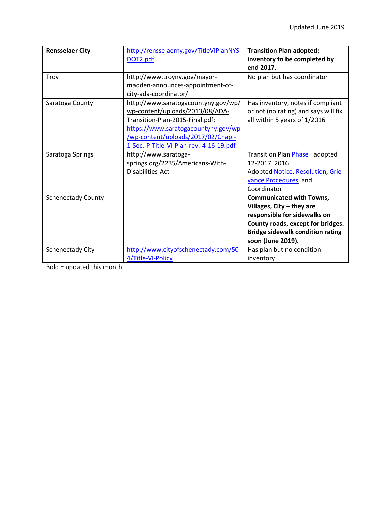| <b>Rensselaer City</b>    | http://rensselaerny.gov/TitleVIPlanNYS<br>DOT2.pdf                                                                                                                                                                                 | <b>Transition Plan adopted;</b><br>inventory to be completed by<br>end 2017.                                                                                                                      |
|---------------------------|------------------------------------------------------------------------------------------------------------------------------------------------------------------------------------------------------------------------------------|---------------------------------------------------------------------------------------------------------------------------------------------------------------------------------------------------|
| Troy                      | http://www.troyny.gov/mayor-<br>madden-announces-appointment-of-<br>city-ada-coordinator/                                                                                                                                          | No plan but has coordinator                                                                                                                                                                       |
| Saratoga County           | http://www.saratogacountyny.gov/wp/<br>wp-content/uploads/2013/08/ADA-<br>Transition-Plan-2015-Final.pdf;<br>https://www.saratogacountyny.gov/wp<br>/wp-content/uploads/2017/02/Chap .-<br>1-Sec.-P-Title-VI-Plan-rev.-4-16-19.pdf | Has inventory, notes if compliant<br>or not (no rating) and says will fix<br>all within 5 years of 1/2016                                                                                         |
| Saratoga Springs          | http://www.saratoga-<br>springs.org/2235/Americans-With-<br>Disabilities-Act                                                                                                                                                       | Transition Plan Phase I adopted<br>12-2017, 2016<br>Adopted Notice, Resolution, Grie<br>vance Procedures, and<br>Coordinator                                                                      |
| <b>Schenectady County</b> |                                                                                                                                                                                                                                    | <b>Communicated with Towns,</b><br>Villages, City - they are<br>responsible for sidewalks on<br>County roads, except for bridges.<br><b>Bridge sidewalk condition rating</b><br>soon (June 2019). |
| <b>Schenectady City</b>   | http://www.cityofschenectady.com/50<br>4/Title-VI-Policy                                                                                                                                                                           | Has plan but no condition<br>inventory                                                                                                                                                            |

Bold = updated this month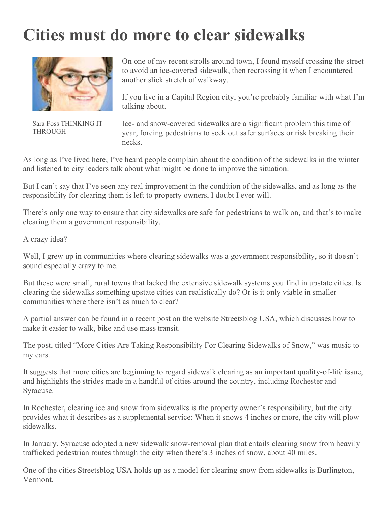# **Cities must do more to clear sidewalks**



Sara Foss THINKING IT THROUGH

On one of my recent strolls around town, I found myself crossing the street to avoid an ice-covered sidewalk, then recrossing it when I encountered another slick stretch of walkway.

If you live in a Capital Region city, you're probably familiar with what I'm talking about.

Ice- and snow-covered sidewalks are a significant problem this time of year, forcing pedestrians to seek out safer surfaces or risk breaking their necks.

As long as I've lived here, I've heard people complain about the condition of the sidewalks in the winter and listened to city leaders talk about what might be done to improve the situation.

But I can't say that I've seen any real improvement in the condition of the sidewalks, and as long as the responsibility for clearing them is left to property owners, I doubt I ever will.

There's only one way to ensure that city sidewalks are safe for pedestrians to walk on, and that's to make clearing them a government responsibility.

A crazy idea?

Well, I grew up in communities where clearing sidewalks was a government responsibility, so it doesn't sound especially crazy to me.

But these were small, rural towns that lacked the extensive sidewalk systems you find in upstate cities. Is clearing the sidewalks something upstate cities can realistically do? Or is it only viable in smaller communities where there isn't as much to clear?

A partial answer can be found in a recent post on the website Streetsblog USA, which discusses how to make it easier to walk, bike and use mass transit.

The post, titled "More Cities Are Taking Responsibility For Clearing Sidewalks of Snow," was music to my ears.

It suggests that more cities are beginning to regard sidewalk clearing as an important quality-of-life issue, and highlights the strides made in a handful of cities around the country, including Rochester and Syracuse.

In Rochester, clearing ice and snow from sidewalks is the property owner's responsibility, but the city provides what it describes as a supplemental service: When it snows 4 inches or more, the city will plow sidewalks.

In January, Syracuse adopted a new sidewalk snow-removal plan that entails clearing snow from heavily trafficked pedestrian routes through the city when there's 3 inches of snow, about 40 miles.

One of the cities Streetsblog USA holds up as a model for clearing snow from sidewalks is Burlington, Vermont.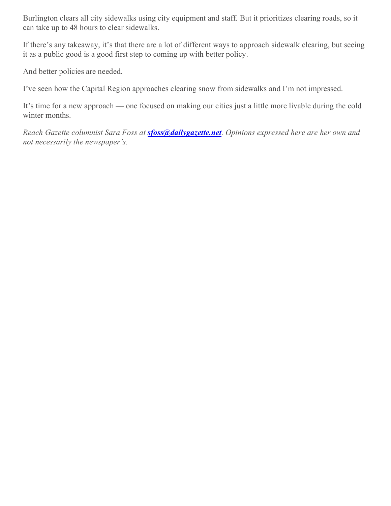Burlington clears all city sidewalks using city equipment and staff. But it prioritizes clearing roads, so it can take up to 48 hours to clear sidewalks.

If there's any takeaway, it's that there are a lot of different ways to approach sidewalk clearing, but seeing it as a public good is a good first step to coming up with better policy.

And better policies are needed.

I've seen how the Capital Region approaches clearing snow from sidewalks and I'm not impressed.

It's time for a new approach — one focused on making our cities just a little more livable during the cold winter months.

*Reach Gazette columnist Sara Foss at sfoss@dailygazette.net. Opinions expressed here are her own and not necessarily the newspaper's.*